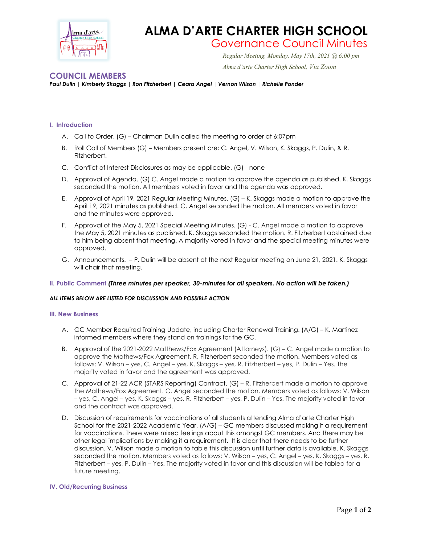

## **ALMA D'ARTE CHARTER HIGH SCHOOL**

# Governance Council Minutes *Regular Meeting, Monday, May 17th, 2021 @ 6:00 pm*

 *Alma d'arte Charter High School, Via Zoom*

### **COUNCIL MEMBERS**

*Paul Dulin | Kimberly Skaggs | Ron Fitzherbert | Ceara Angel | Vernon Wilson | Richelle Ponder*

#### **I. Introduction**

- A. Call to Order. (G) Chairman Dulin called the meeting to order at 6:07pm
- B. Roll Call of Members (G) Members present are: C. Angel, V. Wilson, K. Skaggs, P. Dulin, & R. Fitzherbert.
- C. Conflict of Interest Disclosures as may be applicable. (G) none
- D. Approval of Agenda. (G) C. Angel made a motion to approve the agenda as published. K. Skaggs seconded the motion. All members voted in favor and the agenda was approved.
- E. Approval of April 19, 2021 Regular Meeting Minutes. (G) K. Skaggs made a motion to approve the April 19, 2021 minutes as published. C. Angel seconded the motion. All members voted in favor and the minutes were approved.
- F. Approval of the May 5, 2021 Special Meeting Minutes. (G) C. Angel made a motion to approve the May 5, 2021 minutes as published. K. Skaggs seconded the motion. R. Fitzherbert abstained due to him being absent that meeting. A majority voted in favor and the special meeting minutes were approved.
- G. Announcements. P. Dulin will be absent at the next Regular meeting on June 21, 2021. K. Skaggs will chair that meeting.

#### **II. Public Comment** *(Three minutes per speaker, 30-minutes for all speakers. No action will be taken.)*

#### *ALL ITEMS BELOW ARE LISTED FOR DISCUSSION AND POSSIBLE ACTION*

#### **III. New Business**

- A. GC Member Required Training Update, including Charter Renewal Training. (A/G) K. Martinez informed members where they stand on trainings for the GC.
- B. Approval of the 2021-2022 Matthews/Fox Agreement (Attorneys). (G) C. Angel made a motion to approve the Mathews/Fox Agreement. R, Fitzherbert seconded the motion. Members voted as follows: V. Wilson – yes, C. Angel – yes, K. Skaggs – yes, R. Fitzherbert – yes, P. Dulin – Yes. The majority voted in favor and the agreement was approved.
- C. Approval of 21-22 ACR (STARS Reporting) Contract. (G) R. Fitzherbert made a motion to approve the Mathews/Fox Agreement. C. Angel seconded the motion. Members voted as follows: V. Wilson – yes, C. Angel – yes, K. Skaggs – yes, R. Fitzherbert – yes, P. Dulin – Yes. The majority voted in favor and the contract was approved.
- D. Discussion of requirements for vaccinations of all students attending Alma d'arte Charter High School for the 2021-2022 Academic Year. (A/G) – GC members discussed making it a requirement for vaccinations. There were mixed feelings about this amongst GC members. And there may be other legal implications by making it a requirement. It is clear that there needs to be further discussion. V. Wilson made a motion to table this discussion until further data is available. K. Skaggs seconded the motion. Members voted as follows: V. Wilson – yes, C. Angel – yes, K. Skaggs – yes, R. Fitzherbert – yes, P. Dulin – Yes. The majority voted in favor and this discussion will be tabled for a future meeting.

#### **IV. Old/Recurring Business**